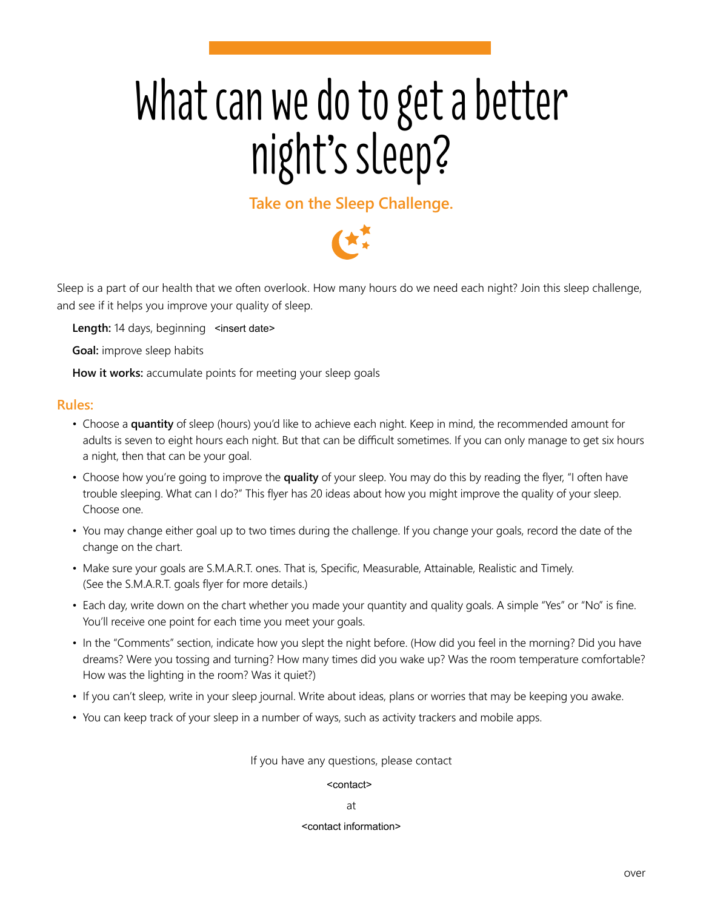# What can we do to get a better night's sleep?

## **Take on the Sleep Challenge.**



Sleep is a part of our health that we often overlook. How many hours do we need each night? Join this sleep challenge, and see if it helps you improve your quality of sleep.

Length: 14 days, beginning <insert date>

**Goal:** improve sleep habits

**How it works:** accumulate points for meeting your sleep goals

### **Rules:**

- Choose a **quantity** of sleep (hours) you'd like to achieve each night. Keep in mind, the recommended amount for adults is seven to eight hours each night. But that can be difficult sometimes. If you can only manage to get six hours a night, then that can be your goal.
- Choose how you're going to improve the **quality** of your sleep. You may do this by reading the flyer, "I often have trouble sleeping. What can I do?" This flyer has 20 ideas about how you might improve the quality of your sleep. Choose one.
- You may change either goal up to two times during the challenge. If you change your goals, record the date of the change on the chart.
- Make sure your goals are S.M.A.R.T. ones. That is, Specific, Measurable, Attainable, Realistic and Timely. (See the S.M.A.R.T. goals flyer for more details.)
- Each day, write down on the chart whether you made your quantity and quality goals. A simple "Yes" or "No" is fine. You'll receive one point for each time you meet your goals.
- In the "Comments" section, indicate how you slept the night before. (How did you feel in the morning? Did you have dreams? Were you tossing and turning? How many times did you wake up? Was the room temperature comfortable? How was the lighting in the room? Was it quiet?)
- If you can't sleep, write in your sleep journal. Write about ideas, plans or worries that may be keeping you awake.
- You can keep track of your sleep in a number of ways, such as activity trackers and mobile apps.

If you have any questions, please contact

## <contact>

#### at

#### <contact information> <contact information>